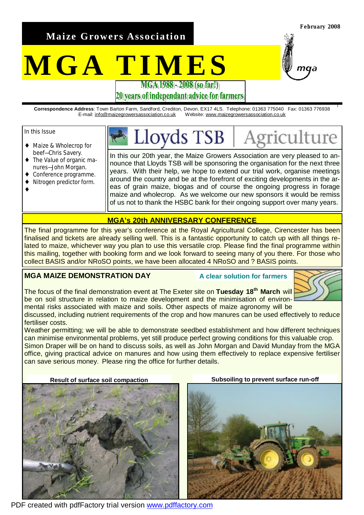**Maize Growers Association** 

# **MGA TIMES**

**February 2008** 

*<u>Iture</u>* 

# 20 vears of independant advice for farmers

**Correspondence Address**: Town Barton Farm, Sandford, Crediton, Devon. EX17 4LS. Telephone: 01363 775040 Fax: 01363 776938 E-mail: [info@maizegrowersassociation.co.uk](mailto:info@maizegrowersassociation.co.uk) Website: [www.maizegrowersassociation.co.uk](http://www.maizegrowersassociation.co.uk)

oyds TSB

#### In this Issue

♦

- ♦ Maize & Wholecrop for beef—Chris Savery.
- ♦ The Value of organic manures—John Morgan.
- Conference programme.
- Nitrogen predictor form.

In this our 20th year, the Maize Growers Association are very pleased to announce that Lloyds TSB will be sponsoring the organisation for the next three years. With their help, we hope to extend our trial work, organise meetings around the country and be at the forefront of exciting developments in the areas of grain maize, biogas and of course the ongoing progress in forage maize and wholecrop. As we welcome our new sponsors it would be remiss of us not to thank the HSBC bank for their ongoing support over many years.

### **MGA's 20th ANNIVERSARY CONFERENCE**

The final programme for this year's conference at the Royal Agricultural College, Cirencester has been finalised and tickets are already selling well. This is a fantastic opportunity to catch up with all things related to maize, whichever way you plan to use this versatile crop. Please find the final programme within this mailing, together with booking form and we look forward to seeing many of you there. For those who collect BASIS and/or NRoSO points, we have been allocated 4 NRoSO and ? BASIS points.

## **MGA MAIZE DEMONSTRATION DAY**

**A clear solution for farmers**



The focus of the final demonstration event at The Exeter site on **Tuesday 18th March** will be on soil structure in relation to maize development and the minimisation of environmental risks associated with maize and soils. Other aspects of maize agronomy will be

discussed, including nutrient requirements of the crop and how manures can be used effectively to reduce fertiliser costs.

Weather permitting; we will be able to demonstrate seedbed establishment and how different techniques can minimise environmental problems, yet still produce perfect growing conditions for this valuable crop. Simon Draper will be on hand to discuss soils, as well as John Morgan and David Munday from the MGA office, giving practical advice on manures and how using them effectively to replace expensive fertiliser can save serious money. Please ring the office for further details.



PDF created with pdfFactory trial version [www.pdffactory.com](http://www.pdffactory.com)